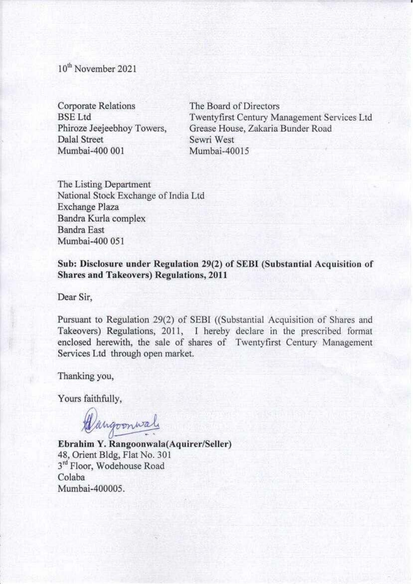10<sup>th</sup> November 2021

Corporate Relations BSELtd Phiroze Jeejeebhoy Towers, Dalal Street Mumbai-400 001

The Board of Directors Twentyfirst Century Management Services Ltd Grease House, Zakaria Bunder Road Sewri West Mumbai-40015

The Listing Department National Stock Exchange of India Ltd Exchange Plaza Bandra Kurla complex Bandra East Mumbai-400 051

Sub: Disclosure under Regulation 29(2) of SEBI (Substantial Acquisition of **Shares and Takeovers) Regulations, 2011** 

Dear Sir,

Pursuant to Regulation 29(2) of SEBI ((Substantial Acquisition of Shares and Takeovers) Regulations, 2011, I hereby declare in the prescribed format enclosed herewith, the sale of shares of Twentyfirst Century Management Services Ltd through open market.

Thanking you,

Yours faithfully,

Wangoonwal

**Ebrahim Y. Rangoonwala(Aquire:r/Seller)**  48, Orient Bldg, Flat No. 301 3<sup>rd</sup> Floor, Wodehouse Road Colaba Mumbai.400005.